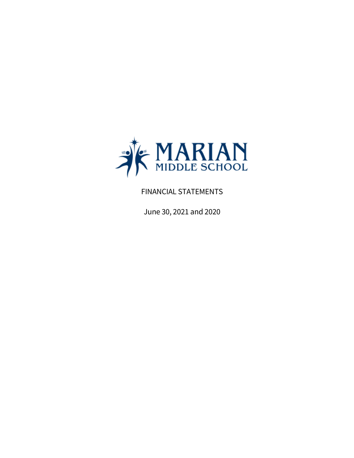

FINANCIAL STATEMENTS

June 30, 2021 and 2020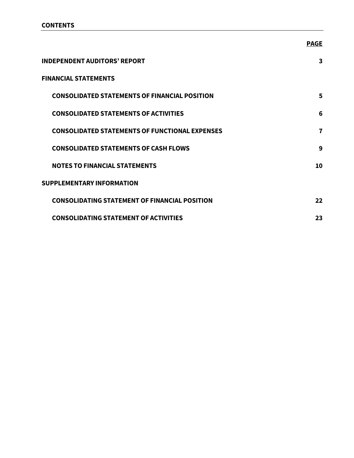|                                                       | <b>PAGE</b>             |
|-------------------------------------------------------|-------------------------|
| <b>INDEPENDENT AUDITORS' REPORT</b>                   | 3                       |
| <b>FINANCIAL STATEMENTS</b>                           |                         |
| <b>CONSOLIDATED STATEMENTS OF FINANCIAL POSITION</b>  | 5                       |
| <b>CONSOLIDATED STATEMENTS OF ACTIVITIES</b>          | 6                       |
| <b>CONSOLIDATED STATEMENTS OF FUNCTIONAL EXPENSES</b> | $\overline{\mathbf{r}}$ |
| <b>CONSOLIDATED STATEMENTS OF CASH FLOWS</b>          | 9                       |
| <b>NOTES TO FINANCIAL STATEMENTS</b>                  | 10                      |
| <b>SUPPLEMENTARY INFORMATION</b>                      |                         |
| <b>CONSOLIDATING STATEMENT OF FINANCIAL POSITION</b>  | 22                      |
| <b>CONSOLIDATING STATEMENT OF ACTIVITIES</b>          | 23                      |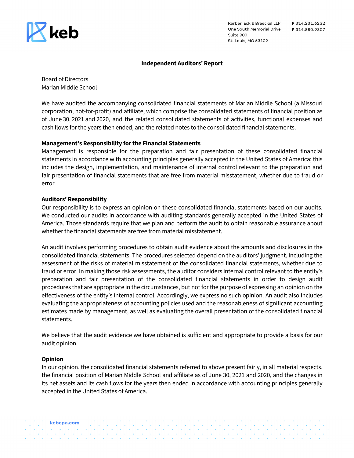

Kerber, Eck & Braeckel LLP One South Memorial Drive Suite 900 St. Louis, MO 63102

P 314.231.6232 F 314.880.9307

#### **Independent Auditors' Report**

Board of Directors Marian Middle School

We have audited the accompanying consolidated financial statements of Marian Middle School (a Missouri corporation, not-for-profit) and affiliate, which comprise the consolidated statements of financial position as of June 30, 2021 and 2020, and the related consolidated statements of activities, functional expenses and cash flows for the years then ended, and the related notes to the consolidated financial statements.

#### **Management's Responsibility for the Financial Statements**

Management is responsible for the preparation and fair presentation of these consolidated financial statements in accordance with accounting principles generally accepted in the United States of America; this includes the design, implementation, and maintenance of internal control relevant to the preparation and fair presentation of financial statements that are free from material misstatement, whether due to fraud or error.

#### **Auditors' Responsibility**

Our responsibility is to express an opinion on these consolidated financial statements based on our audits. We conducted our audits in accordance with auditing standards generally accepted in the United States of America. Those standards require that we plan and perform the audit to obtain reasonable assurance about whether the financial statements are free from material misstatement.

An audit involves performing procedures to obtain audit evidence about the amounts and disclosures in the consolidated financial statements. The procedures selected depend on the auditors' judgment, including the assessment of the risks of material misstatement of the consolidated financial statements, whether due to fraud or error. In making those risk assessments, the auditor considers internal control relevant to the entity's preparation and fair presentation of the consolidated financial statements in order to design audit procedures that are appropriate in the circumstances, but not for the purpose of expressing an opinion on the effectiveness of the entity's internal control. Accordingly, we express no such opinion. An audit also includes evaluating the appropriateness of accounting policies used and the reasonableness of significant accounting estimates made by management, as well as evaluating the overall presentation of the consolidated financial statements.

We believe that the audit evidence we have obtained is sufficient and appropriate to provide a basis for our audit opinion.

#### **Opinion**

kebcpa.com

In our opinion, the consolidated financial statements referred to above present fairly, in all material respects, the financial position of Marian Middle School and affiliate as of June 30, 2021 and 2020, and the changes in its net assets and its cash flows for the years then ended in accordance with accounting principles generally accepted in the United States of America.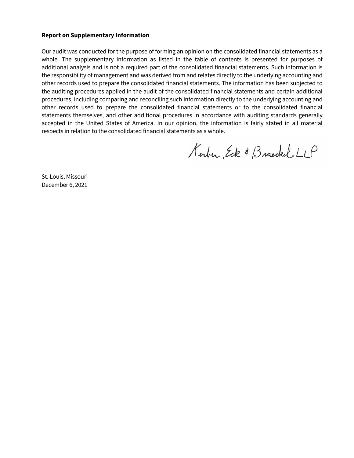#### **Report on Supplementary Information**

Our audit was conducted for the purpose of forming an opinion on the consolidated financial statements as a whole. The supplementary information as listed in the table of contents is presented for purposes of additional analysis and is not a required part of the consolidated financial statements. Such information is the responsibility of management and was derived from and relates directly to the underlying accounting and other records used to prepare the consolidated financial statements. The information has been subjected to the auditing procedures applied in the audit of the consolidated financial statements and certain additional procedures, including comparing and reconciling such information directly to the underlying accounting and other records used to prepare the consolidated financial statements or to the consolidated financial statements themselves, and other additional procedures in accordance with auditing standards generally accepted in the United States of America. In our opinion, the information is fairly stated in all material respects in relation to the consolidated financial statements as a whole.

Kerber, Eck & Braeckel LLP

St. Louis, Missouri December 6, 2021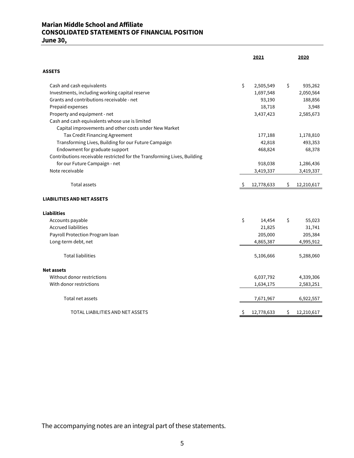# **Marian Middle School and Affiliate CONSOLIDATED STATEMENTS OF FINANCIAL POSITION June 30,**

|                                                                          |    | 2021       | 2020             |
|--------------------------------------------------------------------------|----|------------|------------------|
| <b>ASSETS</b>                                                            |    |            |                  |
| Cash and cash equivalents                                                | \$ | 2,505,549  | \$<br>935,262    |
| Investments, including working capital reserve                           |    | 1,697,548  | 2,050,564        |
| Grants and contributions receivable - net                                |    | 93,190     | 188,856          |
| Prepaid expenses                                                         |    | 18,718     | 3,948            |
| Property and equipment - net                                             |    | 3,437,423  | 2,585,673        |
| Cash and cash equivalents whose use is limited                           |    |            |                  |
| Capital improvements and other costs under New Market                    |    |            |                  |
| Tax Credit Financing Agreement                                           |    | 177,188    | 1,178,810        |
| Transforming Lives, Building for our Future Campaign                     |    | 42,818     | 493,353          |
| Endowment for graduate support                                           |    | 468,824    | 68,378           |
| Contributions receivable restricted for the Transforming Lives, Building |    |            |                  |
| for our Future Campaign - net                                            |    | 918,038    | 1,286,436        |
| Note receivable                                                          |    | 3,419,337  | 3,419,337        |
| <b>Total assets</b>                                                      | Ş  | 12,778,633 | \$<br>12,210,617 |
| <b>LIABILITIES AND NET ASSETS</b>                                        |    |            |                  |
| <b>Liabilities</b>                                                       |    |            |                  |
| Accounts payable                                                         | \$ | 14,454     | \$<br>55,023     |
| <b>Accrued liabilities</b>                                               |    | 21,825     | 31,741           |
| Payroll Protection Program loan                                          |    | 205,000    | 205,384          |
| Long-term debt, net                                                      |    | 4,865,387  | 4,995,912        |
| <b>Total liabilities</b>                                                 |    | 5,106,666  | 5,288,060        |
| <b>Net assets</b>                                                        |    |            |                  |
| Without donor restrictions                                               |    | 6,037,792  | 4,339,306        |
| With donor restrictions                                                  |    | 1,634,175  | 2,583,251        |
|                                                                          |    |            |                  |
| Total net assets                                                         |    | 7,671,967  | 6,922,557        |
| <b>TOTAL LIABILITIES AND NET ASSETS</b>                                  | Ş  | 12,778,633 | \$<br>12,210,617 |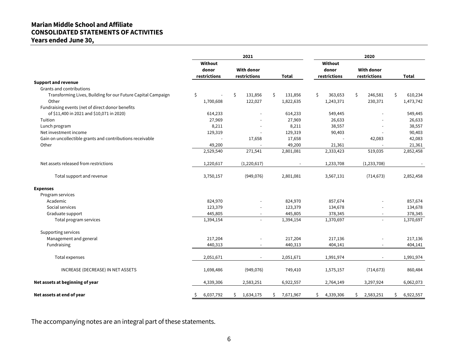## **Marian Middle School and Affiliate CONSOLIDATED STATEMENTS OF ACTIVITIES Years ended June 30,**

|                                                              | 2021                    |    |                          |    |              |                  | 2020                     |                   |                          |     |              |  |
|--------------------------------------------------------------|-------------------------|----|--------------------------|----|--------------|------------------|--------------------------|-------------------|--------------------------|-----|--------------|--|
|                                                              | <b>Without</b><br>donor |    | <b>With donor</b>        |    |              | Without<br>donor |                          | <b>With donor</b> |                          |     |              |  |
|                                                              | restrictions            |    | restrictions             |    | <b>Total</b> | restrictions     |                          | restrictions      |                          |     | <b>Total</b> |  |
| <b>Support and revenue</b>                                   |                         |    |                          |    |              |                  |                          |                   |                          |     |              |  |
| Grants and contributions                                     |                         |    |                          |    |              |                  |                          |                   |                          |     |              |  |
| Transforming Lives, Building for our Future Capital Campaign | \$                      | Ŝ. | 131,856                  | Ŝ. | 131,856      | \$               | 363,653                  | \$                | 246,581                  | \$  | 610,234      |  |
| Other                                                        | 1,700,608               |    | 122,027                  |    | 1,822,635    |                  | 1,243,371                |                   | 230,371                  |     | 1,473,742    |  |
| Fundraising events (net of direct donor benefits             |                         |    |                          |    |              |                  |                          |                   |                          |     |              |  |
| of \$11,400 in 2021 and \$10,071 in 2020)                    | 614,233                 |    |                          |    | 614,233      |                  | 549,445                  |                   |                          |     | 549,445      |  |
| Tuition                                                      | 27,969                  |    |                          |    | 27,969       |                  | 26,633                   |                   |                          |     | 26,633       |  |
| Lunch program                                                | 8,211                   |    |                          |    | 8,211        |                  | 38,557                   |                   |                          |     | 38,557       |  |
| Net investment income                                        | 129,319                 |    |                          |    | 129,319      |                  | 90,403                   |                   |                          |     | 90,403       |  |
| Gain on uncollectible grants and contributions receivable    |                         |    | 17,658                   |    | 17,658       |                  | $\overline{\phantom{a}}$ |                   | 42,083                   |     | 42,083       |  |
| Other                                                        | 49,200                  |    |                          |    | 49,200       |                  | 21,361                   |                   |                          |     | 21,361       |  |
|                                                              | 2,529,540               |    | 271,541                  |    | 2,801,081    |                  | 2,333,423                |                   | 519,035                  |     | 2,852,458    |  |
| Net assets released from restrictions                        | 1,220,617               |    | (1,220,617)              |    |              |                  | 1,233,708                |                   | (1,233,708)              |     |              |  |
| Total support and revenue                                    | 3,750,157               |    | (949, 076)               |    | 2,801,081    |                  | 3,567,131                |                   | (714, 673)               |     | 2,852,458    |  |
| <b>Expenses</b>                                              |                         |    |                          |    |              |                  |                          |                   |                          |     |              |  |
| Program services                                             |                         |    |                          |    |              |                  |                          |                   |                          |     |              |  |
| Academic                                                     | 824,970                 |    |                          |    | 824,970      |                  | 857,674                  |                   |                          |     | 857,674      |  |
| Social services                                              | 123,379                 |    |                          |    | 123,379      |                  | 134,678                  |                   |                          |     | 134,678      |  |
| Graduate support                                             | 445,805                 |    |                          |    | 445,805      |                  | 378,345                  |                   |                          |     | 378,345      |  |
| Total program services                                       | 1,394,154               |    |                          |    | 1,394,154    |                  | 1,370,697                |                   |                          |     | 1,370,697    |  |
| Supporting services                                          |                         |    |                          |    |              |                  |                          |                   |                          |     |              |  |
| Management and general                                       | 217,204                 |    |                          |    | 217,204      |                  | 217,136                  |                   |                          |     | 217,136      |  |
| Fundraising                                                  | 440,313                 |    | $\overline{\phantom{a}}$ |    | 440,313      |                  | 404,141                  |                   | $\overline{\phantom{a}}$ |     | 404,141      |  |
| Total expenses                                               | 2,051,671               |    |                          |    | 2,051,671    |                  | 1,991,974                |                   |                          |     | 1,991,974    |  |
| INCREASE (DECREASE) IN NET ASSETS                            | 1,698,486               |    | (949, 076)               |    | 749,410      |                  | 1,575,157                |                   | (714, 673)               |     | 860,484      |  |
| Net assets at beginning of year                              | 4,339,306               |    | 2,583,251                |    | 6,922,557    |                  | 2,764,149                |                   | 3,297,924                |     | 6,062,073    |  |
| Net assets at end of year                                    | 6,037,792<br>-Ş         | S. | 1,634,175                | S. | 7,671,967    | S.               | 4,339,306                | \$                | 2,583,251                | \$. | 6,922,557    |  |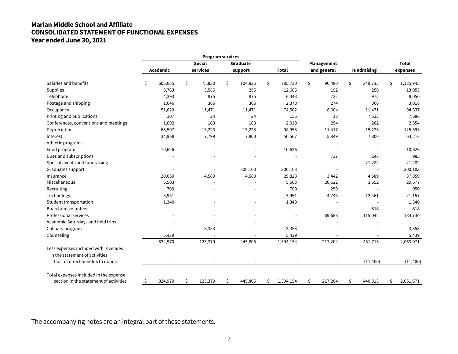## **Marian Middle School and Affiliate CONSOLIDATED STATEMENT OF FUNCTIONAL EXPENSES Year ended June 30, 2021**

|                                        |     |                 |    | <b>Program services</b> |    |          |               |               |    |                    |    |              |
|----------------------------------------|-----|-----------------|----|-------------------------|----|----------|---------------|---------------|----|--------------------|----|--------------|
|                                        |     |                 |    | <b>Social</b>           |    | Graduate |               | Management    |    |                    |    | <b>Total</b> |
|                                        |     | <b>Academic</b> |    | services                |    | support  | <b>Total</b>  | and general   |    | <b>Fundraising</b> |    | expenses     |
| Salaries and benefits                  | \$  | 605,065         | \$ | 75,830                  | \$ | 104,835  | \$<br>785,730 | \$<br>90,480  | \$ | 249,735            | \$ | 1,125,945    |
| Supplies                               |     | 8,763           |    | 3,586                   |    | 256      | 12,605        | 192           |    | 256                |    | 13,053       |
| Telephone                              |     | 4,393           |    | 975                     |    | 975      | 6,343         | 732           |    | 975                |    | 8,050        |
| Postage and shipping                   |     | 1,646           |    | 366                     |    | 366      | 2,378         | 274           |    | 366                |    | 3,018        |
| Occupancy                              |     | 51,620          |    | 11,471                  |    | 11,471   | 74,562        | 8,604         |    | 11,471             |    | 94,637       |
| Printing and publications              |     | 107             |    | 24                      |    | 24       | 155           | 18            |    | 7,513              |    | 7,686        |
| Conferences, conventions and meetings  |     | 1,692           |    | 163                     |    | 163      | 2,018         | 254           |    | 282                |    | 2,554        |
| Depreciation                           |     | 68,507          |    | 15,223                  |    | 15,223   | 98,953        | 11,417        |    | 15,223             |    | 125,593      |
| Interest                               |     | 34,968          |    | 7,799                   |    | 7,800    | 50,567        | 5,849         |    | 7,800              |    | 64,216       |
| Athletic programs                      |     |                 |    |                         |    |          |               |               |    |                    |    |              |
| Food program                           |     | 10,626          |    |                         |    |          | 10,626        |               |    |                    |    | 10,626       |
| Dues and subscriptions                 |     |                 |    |                         |    |          |               | 737           |    | 248                |    | 985          |
| Special events and fundraising         |     |                 |    |                         |    |          |               |               |    | 21,282             |    | 21,282       |
| Graduates support                      |     |                 |    |                         |    | 300,103  | 300,103       |               |    |                    |    | 300,103      |
| Insurance                              |     | 20,650          |    | 4,589                   |    | 4,589    | 29,828        | 3,442         |    | 4,589              |    | 37,859       |
| Miscellaneous                          |     | 5,503           |    |                         |    |          | 5,503         | 20,522        |    | 3,652              |    | 29,677       |
| Recruiting                             |     | 700             |    |                         |    |          | 700           | 250           |    |                    |    | 950          |
| Technology                             |     | 3,951           |    |                         |    |          | 3,951         | 4,745         |    | 12,461             |    | 21,157       |
| Student transportation                 |     | 1,340           |    |                         |    |          | 1,340         |               |    |                    |    | 1,340        |
| Board and volunteer                    |     |                 |    |                         |    |          |               |               |    | 818                |    | 818          |
| Professional services                  |     |                 |    |                         |    |          |               | 69,688        |    | 115,042            |    | 184,730      |
| Academic Saturdays and field trips     |     |                 |    |                         |    |          |               |               |    |                    |    |              |
| Culinary program                       |     |                 |    | 3,353                   |    |          | 3,353         |               |    |                    |    | 3,353        |
| Counseling                             |     | 5,439           |    |                         |    |          | 5,439         |               |    |                    |    | 5,439        |
|                                        |     | 824,970         |    | 123,379                 |    | 445,805  | 1,394,154     | 217,204       |    | 451,713            |    | 2,063,071    |
| Less expenses included with revenues   |     |                 |    |                         |    |          |               |               |    |                    |    |              |
| in the statement of activities         |     |                 |    |                         |    |          |               |               |    |                    |    |              |
| Cost of direct benefits to donors      |     |                 |    |                         |    |          |               |               |    | (11, 400)          |    | (11, 400)    |
| Total expenses included in the expense |     |                 |    |                         |    |          |               |               |    |                    |    |              |
| section in the statement of activities | \$. | 824,970         | Ś  | 123,379                 | Ŝ  | 445,805  | 1,394,154     | \$<br>217,204 | Ś  | 440,313            | Ś  | 2,051,671    |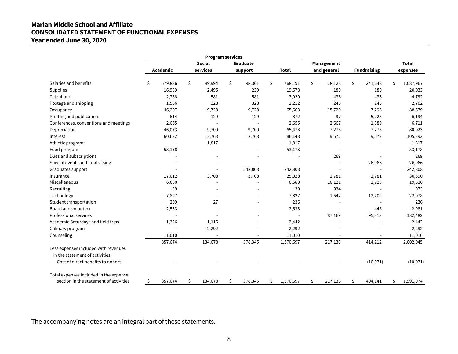## **Marian Middle School and Affiliate CONSOLIDATED STATEMENT OF FUNCTIONAL EXPENSES Year ended June 30, 2020**

|                                        |     |                          | <b>Program services</b>  |                          |    |                |               |                    |                 |
|----------------------------------------|-----|--------------------------|--------------------------|--------------------------|----|----------------|---------------|--------------------|-----------------|
|                                        |     |                          | <b>Social</b>            | Graduate                 |    |                | Management    |                    | <b>Total</b>    |
|                                        |     | Academic                 | services                 | support                  |    | <b>Total</b>   | and general   | <b>Fundraising</b> | expenses        |
| Salaries and benefits                  | \$  | 579,836                  | \$<br>89,994             | \$<br>98,361             | \$ | 768,191        | \$<br>78,128  | \$<br>241,648      | \$<br>1,087,967 |
| Supplies                               |     | 16,939                   | 2,495                    | 239                      |    | 19,673         | 180           | 180                | 20,033          |
| Telephone                              |     | 2,758                    | 581                      | 581                      |    | 3,920          | 436           | 436                | 4,792           |
| Postage and shipping                   |     | 1,556                    | 328                      | 328                      |    | 2,212          | 245           | 245                | 2,702           |
| Occupancy                              |     |                          | 9,728                    | 9,728                    |    | 65,663         | 15,720        | 7,296              | 88,679          |
| Printing and publications              |     | 46,207<br>614            | 129                      | 129                      |    | 872            | 97            | 5,225              | 6,194           |
|                                        |     |                          |                          |                          |    |                |               |                    |                 |
| Conferences, conventions and meetings  |     | 2,655                    | $\overline{\phantom{a}}$ | $\overline{\phantom{a}}$ |    | 2,655          | 2,667         | 1,389              | 6,711           |
| Depreciation                           |     | 46,073                   | 9,700                    | 9,700                    |    | 65,473         | 7,275         | 7,275              | 80,023          |
| Interest                               |     | 60,622                   | 12,763                   | 12,763                   |    | 86,148         | 9,572         | 9,572              | 105,292         |
| Athletic programs                      |     |                          | 1,817                    |                          |    | 1,817          |               |                    | 1,817           |
| Food program                           |     | 53,178                   |                          |                          |    | 53,178         |               |                    | 53,178          |
| Dues and subscriptions                 |     |                          |                          |                          |    |                | 269           |                    | 269             |
| Special events and fundraising         |     |                          |                          |                          |    |                |               | 26,966             | 26,966          |
| Graduates support                      |     |                          |                          | 242,808                  |    | 242,808        |               |                    | 242,808         |
| Insurance                              |     | 17,612                   | 3,708                    | 3,708                    |    | 25,028         | 2,781         | 2,781              | 30,590          |
| Miscellaneous                          |     | 6,680                    |                          |                          |    | 6,680          | 10,121        | 2,729              | 19,530          |
| Recruiting                             |     | 39                       |                          |                          |    | 39             | 934           |                    | 973             |
| Technology                             |     | 7,827                    |                          |                          |    | 7,827          | 1,542         | 12,709             | 22,078          |
| Student transportation                 |     | 209                      | 27                       |                          |    | 236            |               |                    | 236             |
| Board and volunteer                    |     | 2,533                    |                          |                          |    | 2,533          |               | 448                | 2,981           |
| Professional services                  |     | $\overline{\phantom{a}}$ |                          |                          |    | $\blacksquare$ | 87,169        | 95,313             | 182,482         |
| Academic Saturdays and field trips     |     | 1,326                    | 1,116                    |                          |    | 2,442          |               |                    | 2,442           |
| Culinary program                       |     |                          | 2,292                    |                          |    | 2,292          |               |                    | 2,292           |
| Counseling                             |     | 11,010                   |                          |                          |    | 11,010         |               |                    | 11,010          |
|                                        |     | 857,674                  | 134,678                  | 378,345                  |    | 1,370,697      | 217,136       | 414,212            | 2,002,045       |
| Less expenses included with revenues   |     |                          |                          |                          |    |                |               |                    |                 |
| in the statement of activities         |     |                          |                          |                          |    |                |               |                    |                 |
| Cost of direct benefits to donors      |     |                          |                          |                          |    |                |               | (10,071)           | (10, 071)       |
| Total expenses included in the expense |     |                          |                          |                          |    |                |               |                    |                 |
| section in the statement of activities | -\$ | 857,674                  | \$<br>134,678            | \$<br>378,345            | S. | 1,370,697      | \$<br>217,136 | \$<br>404,141      | \$<br>1,991,974 |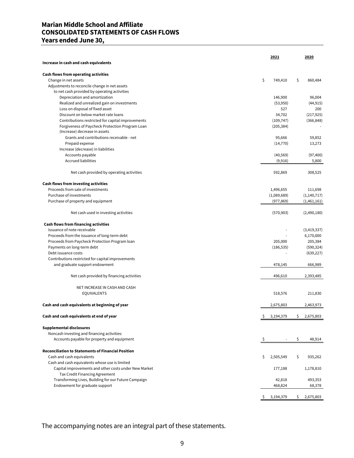# **Marian Middle School and Affiliate CONSOLIDATED STATEMENTS OF CASH FLOWS Years ended June 30,**

| Increase in cash and cash equivalents                                                          |               |
|------------------------------------------------------------------------------------------------|---------------|
|                                                                                                |               |
| Cash flows from operating activities                                                           |               |
| Change in net assets<br>\$<br>749,410<br>\$                                                    | 860,484       |
| Adjustments to reconcile change in net assets                                                  |               |
| to net cash provided by operating activities                                                   |               |
| Depreciation and amortization<br>146,900                                                       | 96,004        |
| Realized and unrealized gain on investments<br>(53,950)                                        | (44, 915)     |
| Loss on disposal of fixed asset<br>527                                                         | 200           |
| Discount on below market rate loans<br>34,702                                                  | (217, 925)    |
| Contributions restricted for capital improvements<br>(109, 747)                                | (366, 848)    |
| Forgiveness of Paycheck Protection Program Loan<br>(205, 384)<br>(Increase) decrease in assets |               |
| Grants and contributions receivable - net<br>95,666                                            | 59,852        |
| Prepaid expense<br>(14, 770)                                                                   | 13,273        |
| Increase (decrease) in liabilities                                                             |               |
| Accounts payable<br>(40, 569)                                                                  | (97, 400)     |
| <b>Accrued liabilities</b><br>(9, 916)                                                         | 5,800         |
| Net cash provided by operating activities<br>592,869                                           | 308,525       |
| Cash flows from investing activities                                                           |               |
| Proceeds from sale of investments<br>1,496,655                                                 | 111,698       |
| Purchase of investments<br>(1,089,689)                                                         | (1, 140, 717) |
| Purchase of property and equipment<br>(977, 869)                                               | (1,461,161)   |
| Net cash used in investing activities<br>(570, 903)                                            | (2,490,180)   |
| <b>Cash flows from financing activities</b>                                                    |               |
| Issuance of note receivable                                                                    | (3,419,337)   |
| Proceeds from the issuance of long-term debt                                                   | 6,170,000     |
| Proceeds from Paycheck Protection Program loan<br>205,000                                      | 205,384       |
| Payments on long-term debt<br>(186, 535)                                                       | (590, 324)    |
| Debt issuance costs                                                                            | (639, 227)    |
| Contributions restricted for capital improvements                                              |               |
| and graduate support endowment<br>478,145                                                      | 666,989       |
| Net cash provided by financing activities<br>496,610                                           | 2,393,485     |
| NET INCREASE IN CASH AND CASH                                                                  |               |
| EQUIVALENTS<br>518,576                                                                         | 211,830       |
|                                                                                                |               |
| Cash and cash equivalents at beginning of year<br>2,675,803                                    | 2,463,973     |
| Cash and cash equivalents at end of year<br>\$<br>\$<br>3,194,379                              | 2,675,803     |
| <b>Supplemental disclosures</b>                                                                |               |
| Noncash investing and financing activities:                                                    |               |
| Accounts payable for property and equipment<br>\$<br>-S                                        | 48,914        |
| <b>Reconciliation to Statements of Financial Position</b>                                      |               |
| Cash and cash equivalents<br>\$<br>\$<br>2,505,549                                             | 935,262       |
| Cash and cash equivalents whose use is limited                                                 |               |
| Capital improvements and other costs under New Market<br>177,188                               | 1,178,810     |
| Tax Credit Financing Agreement                                                                 |               |
| Transforming Lives, Building for our Future Campaign<br>42,818                                 | 493,353       |
| Endowment for graduate support<br>468,824                                                      | 68,378        |
| 3,194,379<br>\$<br>\$                                                                          | 2,675,803     |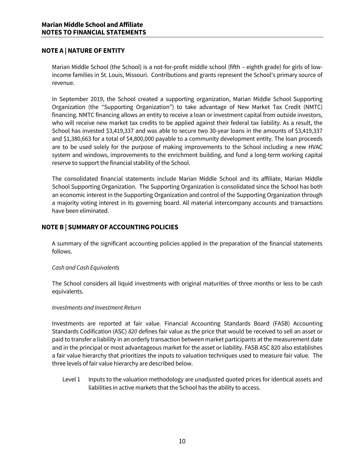# **NOTE A | NATURE OF ENTITY**

Marian Middle School (the School) is a not-for-profit middle school (fifth – eighth grade) for girls of lowincome families in St. Louis, Missouri. Contributions and grants represent the School's primary source of revenue.

In September 2019, the School created a supporting organization, Marian Middle School Supporting Organization (the "Supporting Organization") to take advantage of New Market Tax Credit (NMTC) financing. NMTC financing allows an entity to receive a loan or investment capital from outside investors, who will receive new market tax credits to be applied against their federal tax liability. As a result, the School has invested \$3,419,337 and was able to secure two 30-year loans in the amounts of \$3,419,337 and \$1,380,663 for a total of \$4,800,000 payable to a community development entity. The loan proceeds are to be used solely for the purpose of making improvements to the School including a new HVAC system and windows, improvements to the enrichment building, and fund a long-term working capital reserve to support the financial stability of the School.

The consolidated financial statements include Marian Middle School and its affiliate, Marian Middle School Supporting Organization. The Supporting Organization is consolidated since the School has both an economic interest in the Supporting Organization and control of the Supporting Organization through a majority voting interest in its governing board. All material intercompany accounts and transactions have been eliminated.

# **NOTE B | SUMMARY OF ACCOUNTING POLICIES**

A summary of the significant accounting policies applied in the preparation of the financial statements follows.

#### *Cash and Cash Equivalents*

The School considers all liquid investments with original maturities of three months or less to be cash equivalents.

#### *Investments and Investment Return*

Investments are reported at fair value. Financial Accounting Standards Board (FASB) Accounting Standards Codification (ASC) *820* defines fair value as the price that would be received to sell an asset or paid to transfer a liability in an orderly transaction between market participants at the measurement date and in the principal or most advantageous market for the asset or liability. FASB ASC 820 also establishes a fair value hierarchy that prioritizes the inputs to valuation techniques used to measure fair value. The three levels of fair value hierarchy are described below.

Level 1 Inputs to the valuation methodology are unadjusted quoted prices for identical assets and liabilities in active markets that the School has the ability to access.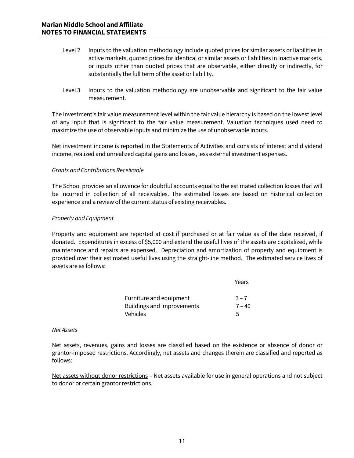- Level 2 Inputs to the valuation methodology include quoted prices for similar assets or liabilities in active markets, quoted prices for identical or similar assets or liabilities in inactive markets, or inputs other than quoted prices that are observable, either directly or indirectly, for substantially the full term of the asset or liability.
- Level 3 Inputs to the valuation methodology are unobservable and significant to the fair value measurement.

The investment's fair value measurement level within the fair value hierarchy is based on the lowest level of any input that is significant to the fair value measurement. Valuation techniques used need to maximize the use of observable inputs and minimize the use of unobservable inputs.

Net investment income is reported in the Statements of Activities and consists of interest and dividend income, realized and unrealized capital gains and losses, less external investment expenses.

## *Grants and Contributions Receivable*

The School provides an allowance for doubtful accounts equal to the estimated collection losses that will be incurred in collection of all receivables. The estimated losses are based on historical collection experience and a review of the current status of existing receivables.

#### *Property and Equipment*

Property and equipment are reported at cost if purchased or at fair value as of the date received, if donated. Expenditures in excess of \$5,000 and extend the useful lives of the assets are capitalized, while maintenance and repairs are expensed. Depreciation and amortization of property and equipment is provided over their estimated useful lives using the straight-line method. The estimated service lives of assets are as follows:

|                            | Years    |
|----------------------------|----------|
| Furniture and equipment    | $3 - 7$  |
| Buildings and improvements | $7 - 40$ |
| Vehicles                   | ь        |

#### *Net Assets*

Net assets, revenues, gains and losses are classified based on the existence or absence of donor or grantor-imposed restrictions. Accordingly, net assets and changes therein are classified and reported as follows:

Net assets without donor restrictions - Net assets available for use in general operations and not subject to donor or certain grantor restrictions.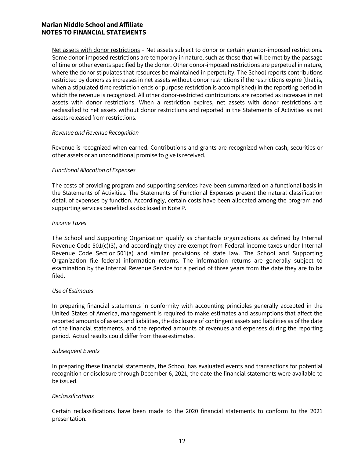Net assets with donor restrictions - Net assets subject to donor or certain grantor-imposed restrictions. Some donor-imposed restrictions are temporary in nature, such as those that will be met by the passage of time or other events specified by the donor. Other donor-imposed restrictions are perpetual in nature, where the donor stipulates that resources be maintained in perpetuity. The School reports contributions restricted by donors as increases in net assets without donor restrictions if the restrictions expire (that is, when a stipulated time restriction ends or purpose restriction is accomplished) in the reporting period in which the revenue is recognized. All other donor-restricted contributions are reported as increases in net assets with donor restrictions. When a restriction expires, net assets with donor restrictions are reclassified to net assets without donor restrictions and reported in the Statements of Activities as net assets released from restrictions.

#### *Revenue and Revenue Recognition*

Revenue is recognized when earned. Contributions and grants are recognized when cash, securities or other assets or an unconditional promise to give is received.

#### *Functional Allocation of Expenses*

The costs of providing program and supporting services have been summarized on a functional basis in the Statements of Activities. The Statements of Functional Expenses present the natural classification detail of expenses by function. Accordingly, certain costs have been allocated among the program and supporting services benefited as disclosed in Note P.

#### *Income Taxes*

The School and Supporting Organization qualify as charitable organizations as defined by Internal Revenue Code 501(c)(3), and accordingly they are exempt from Federal income taxes under Internal Revenue Code Section 501(a) and similar provisions of state law. The School and Supporting Organization file federal information returns. The information returns are generally subject to examination by the Internal Revenue Service for a period of three years from the date they are to be filed.

#### *Use of Estimates*

In preparing financial statements in conformity with accounting principles generally accepted in the United States of America, management is required to make estimates and assumptions that affect the reported amounts of assets and liabilities, the disclosure of contingent assets and liabilities as of the date of the financial statements, and the reported amounts of revenues and expenses during the reporting period. Actual results could differ from these estimates.

#### *Subsequent Events*

In preparing these financial statements, the School has evaluated events and transactions for potential recognition or disclosure through December 6, 2021, the date the financial statements were available to be issued.

#### *Reclassifications*

Certain reclassifications have been made to the 2020 financial statements to conform to the 2021 presentation.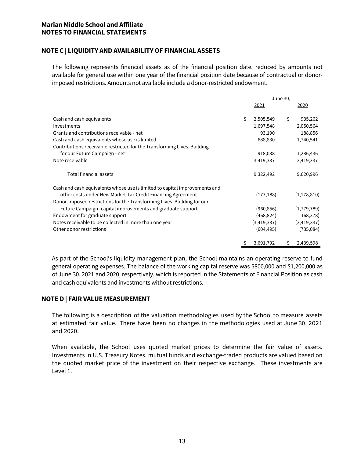# **NOTE C | LIQUIDITY AND AVAILABILITY OF FINANCIAL ASSETS**

The following represents financial assets as of the financial position date, reduced by amounts not available for general use within one year of the financial position date because of contractual or donorimposed restrictions. Amounts not available include a donor-restricted endowment.

|                                                                            | June 30, |               |    |               |  |
|----------------------------------------------------------------------------|----------|---------------|----|---------------|--|
|                                                                            |          | 2021          |    | 2020          |  |
| Cash and cash equivalents                                                  | \$       | 2,505,549     | \$ | 935,262       |  |
| Investments                                                                |          | 1,697,548     |    | 2,050,564     |  |
| Grants and contributions receivable - net                                  |          | 93,190        |    | 188,856       |  |
| Cash and cash equivalents whose use is limited                             |          | 688,830       |    | 1,740,541     |  |
| Contributions receivable restricted for the Transforming Lives, Building   |          |               |    |               |  |
| for our Future Campaign - net                                              |          | 918,038       |    | 1,286,436     |  |
| Note receivable                                                            |          | 3,419,337     |    | 3,419,337     |  |
| Total financial assets                                                     |          | 9,322,492     |    | 9,620,996     |  |
| Cash and cash equivalents whose use is limited to capital improvements and |          |               |    |               |  |
| other costs under New Market Tax Credit Financing Agreement                |          | (177, 188)    |    | (1, 178, 810) |  |
| Donor-imposed restrictions for the Transforming Lives, Building for our    |          |               |    |               |  |
| Future Campaign -capital improvements and graduate support                 |          | (960, 856)    |    | (1,779,789)   |  |
| Endowment for graduate support                                             |          | (468, 824)    |    | (68, 378)     |  |
| Notes receivable to be collected in more than one year                     |          | (3, 419, 337) |    | (3,419,337)   |  |
| Other donor restrictions                                                   |          | (604, 495)    |    | (735,084)     |  |
|                                                                            | \$       | 3,691,792     | S  | 2,439,598     |  |

As part of the School's liquidity management plan, the School maintains an operating reserve to fund general operating expenses. The balance of the working capital reserve was \$800,000 and \$1,200,000 as of June 30, 2021 and 2020, respectively, which is reported in the Statements of Financial Position as cash and cash equivalents and investments without restrictions.

# **NOTE D | FAIR VALUE MEASUREMENT**

The following is a description of the valuation methodologies used by the School to measure assets at estimated fair value. There have been no changes in the methodologies used at June 30, 2021 and 2020.

When available, the School uses quoted market prices to determine the fair value of assets. Investments in U.S. Treasury Notes, mutual funds and exchange-traded products are valued based on the quoted market price of the investment on their respective exchange. These investments are Level 1.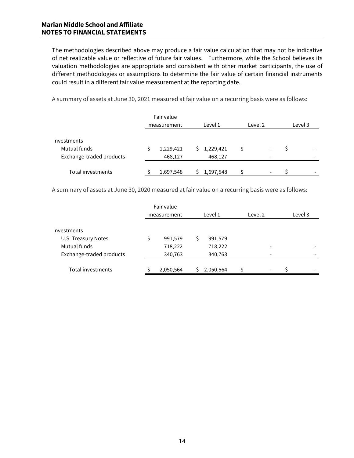The methodologies described above may produce a fair value calculation that may not be indicative of net realizable value or reflective of future fair values. Furthermore, while the School believes its valuation methodologies are appropriate and consistent with other market participants, the use of different methodologies or assumptions to determine the fair value of certain financial instruments could result in a different fair value measurement at the reporting date.

A summary of assets at June 30, 2021 measured at fair value on a recurring basis were as follows:

|                          | Fair value  |  |           |         |                          |         |                          |
|--------------------------|-------------|--|-----------|---------|--------------------------|---------|--------------------------|
|                          | measurement |  | Level 1   | Level 2 |                          | Level 3 |                          |
|                          |             |  |           |         |                          |         |                          |
| Investments              |             |  |           |         |                          |         |                          |
| Mutual funds             | 1,229,421   |  | 1,229,421 |         |                          |         | -                        |
| Exchange-traded products | 468,127     |  | 468,127   |         | -                        |         | -                        |
|                          |             |  |           |         |                          |         |                          |
| Total investments        | 1,697,548   |  | 1,697,548 |         | $\overline{\phantom{0}}$ |         | $\overline{\phantom{0}}$ |

A summary of assets at June 30, 2020 measured at fair value on a recurring basis were as follows:

|                          | Fair value  |   |           |         |                          |                          |
|--------------------------|-------------|---|-----------|---------|--------------------------|--------------------------|
|                          | measurement |   | Level 1   | Level 2 |                          | Level 3                  |
|                          |             |   |           |         |                          |                          |
| Investments              |             |   |           |         |                          |                          |
| U.S. Treasury Notes      | 991,579     | S | 991,579   |         |                          |                          |
| Mutual funds             | 718,222     |   | 718,222   |         |                          |                          |
| Exchange-traded products | 340,763     |   | 340,763   |         | ۰                        |                          |
|                          |             |   |           |         |                          |                          |
| Total investments        | 2,050,564   |   | 2,050,564 |         | $\overline{\phantom{0}}$ | $\overline{\phantom{a}}$ |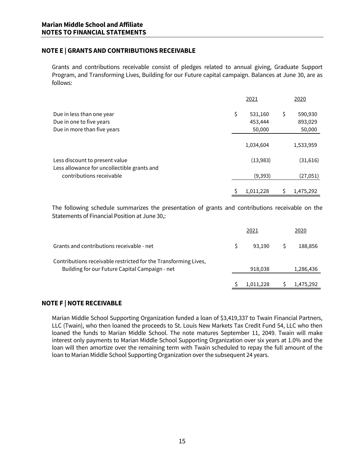# **NOTE E | GRANTS AND CONTRIBUTIONS RECEIVABLE**

Grants and contributions receivable consist of pledges related to annual giving, Graduate Support Program, and Transforming Lives, Building for our Future capital campaign. Balances at June 30, are as follows:

|                                                                               | 2021          |    | 2020      |
|-------------------------------------------------------------------------------|---------------|----|-----------|
| Due in less than one year                                                     | \$<br>531,160 | \$ | 590,930   |
| Due in one to five years                                                      | 453,444       |    | 893,029   |
| Due in more than five years                                                   | 50,000        |    | 50,000    |
|                                                                               | 1,034,604     |    | 1,533,959 |
| Less discount to present value<br>Less allowance for uncollectible grants and | (13,983)      |    | (31,616)  |
| contributions receivable                                                      | (9, 393)      |    | (27, 051) |
|                                                                               | 1,011,228     | S  | 1,475,292 |

The following schedule summarizes the presentation of grants and contributions receivable on the Statements of Financial Position at June 30,:

|                                                                                                                   | 2021 |           |  | 2020      |
|-------------------------------------------------------------------------------------------------------------------|------|-----------|--|-----------|
| Grants and contributions receivable - net                                                                         |      | 93,190    |  | 188,856   |
| Contributions receivable restricted for the Transforming Lives,<br>Building for our Future Capital Campaign - net |      | 918,038   |  | 1,286,436 |
|                                                                                                                   |      | 1,011,228 |  | 1,475,292 |

## **NOTE F | NOTE RECEIVABLE**

Marian Middle School Supporting Organization funded a loan of \$3,419,337 to Twain Financial Partners, LLC (Twain), who then loaned the proceeds to St. Louis New Markets Tax Credit Fund 54, LLC who then loaned the funds to Marian Middle School. The note matures September 11, 2049. Twain will make interest only payments to Marian Middle School Supporting Organization over six years at 1.0% and the loan will then amortize over the remaining term with Twain scheduled to repay the full amount of the loan to Marian Middle School Supporting Organization over the subsequent 24 years.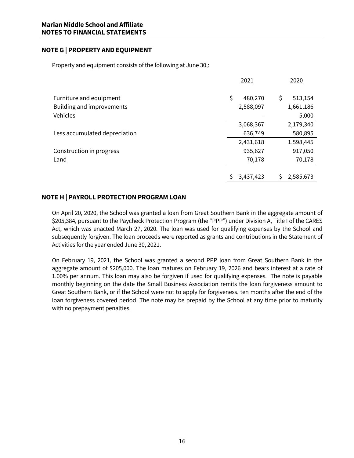# **NOTE G | PROPERTY AND EQUIPMENT**

Property and equipment consists of the following at June 30,:

|                               | 2021          | 2020          |
|-------------------------------|---------------|---------------|
| Furniture and equipment       | \$<br>480,270 | \$<br>513,154 |
| Building and improvements     | 2,588,097     | 1,661,186     |
| Vehicles                      |               | 5,000         |
|                               | 3,068,367     | 2,179,340     |
| Less accumulated depreciation | 636,749       | 580,895       |
|                               | 2,431,618     | 1,598,445     |
| Construction in progress      | 935,627       | 917,050       |
| Land                          | 70,178        | 70,178        |
|                               | 3,437,423     | 2,585,673     |

# **NOTE H | PAYROLL PROTECTION PROGRAM LOAN**

On April 20, 2020, the School was granted a loan from Great Southern Bank in the aggregate amount of \$205,384, pursuant to the Paycheck Protection Program (the "PPP") under Division A, Title I of the CARES Act, which was enacted March 27, 2020. The loan was used for qualifying expenses by the School and subsequently forgiven. The loan proceeds were reported as grants and contributions in the Statement of Activities for the year ended June 30, 2021.

On February 19, 2021, the School was granted a second PPP loan from Great Southern Bank in the aggregate amount of \$205,000. The loan matures on February 19, 2026 and bears interest at a rate of 1.00% per annum. This loan may also be forgiven if used for qualifying expenses. The note is payable monthly beginning on the date the Small Business Association remits the loan forgiveness amount to Great Southern Bank, or if the School were not to apply for forgiveness, ten months after the end of the loan forgiveness covered period. The note may be prepaid by the School at any time prior to maturity with no prepayment penalties.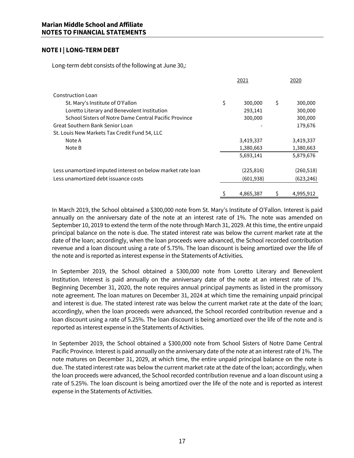# **NOTE I | LONG-TERM DEBT**

Long-term debt consists of the following at June 30,:

|                                                             | 2021          |   | 2020       |
|-------------------------------------------------------------|---------------|---|------------|
| <b>Construction Loan</b>                                    |               |   |            |
| St. Mary's Institute of O'Fallon                            | \$<br>300,000 | S | 300,000    |
| Loretto Literary and Benevolent Institution                 | 293,141       |   | 300,000    |
| School Sisters of Notre Dame Central Pacific Province       | 300,000       |   | 300,000    |
| <b>Great Southern Bank Senior Loan</b>                      |               |   | 179,676    |
| St. Louis New Markets Tax Credit Fund 54, LLC               |               |   |            |
| Note A                                                      | 3,419,337     |   | 3,419,337  |
| Note B                                                      | 1,380,663     |   | 1,380,663  |
|                                                             | 5,693,141     |   | 5,879,676  |
| Less unamortized imputed interest on below market rate loan | (225, 816)    |   | (260, 518) |
| Less unamortized debt issuance costs                        | (601, 938)    |   | (623, 246) |
|                                                             | 4,865,387     |   | 4,995,912  |

In March 2019, the School obtained a \$300,000 note from St. Mary's Institute of O'Fallon. Interest is paid annually on the anniversary date of the note at an interest rate of 1%. The note was amended on September 10, 2019 to extend the term of the note through March 31, 2029. At this time, the entire unpaid principal balance on the note is due. The stated interest rate was below the current market rate at the date of the loan; accordingly, when the loan proceeds were advanced, the School recorded contribution revenue and a loan discount using a rate of 5.75%. The loan discount is being amortized over the life of the note and is reported as interest expense in the Statements of Activities.

In September 2019, the School obtained a \$300,000 note from Loretto Literary and Benevolent Institution. Interest is paid annually on the anniversary date of the note at an interest rate of 1%. Beginning December 31, 2020, the note requires annual principal payments as listed in the promissory note agreement. The loan matures on December 31, 2024 at which time the remaining unpaid principal and interest is due. The stated interest rate was below the current market rate at the date of the loan; accordingly, when the loan proceeds were advanced, the School recorded contribution revenue and a loan discount using a rate of 5.25%. The loan discount is being amortized over the life of the note and is reported as interest expense in the Statements of Activities.

In September 2019, the School obtained a \$300,000 note from School Sisters of Notre Dame Central Pacific Province. Interest is paid annually on the anniversary date of the note at an interest rate of 1%. The note matures on December 31, 2029, at which time, the entire unpaid principal balance on the note is due. The stated interest rate was below the current market rate at the date of the loan; accordingly, when the loan proceeds were advanced, the School recorded contribution revenue and a loan discount using a rate of 5.25%. The loan discount is being amortized over the life of the note and is reported as interest expense in the Statements of Activities.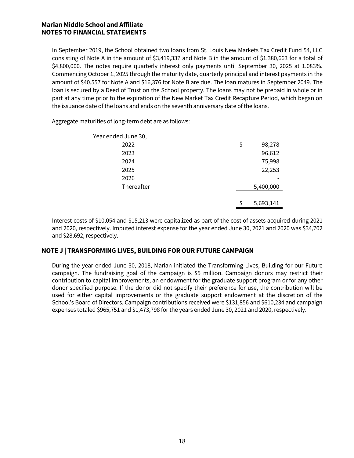In September 2019, the School obtained two loans from St. Louis New Markets Tax Credit Fund 54, LLC consisting of Note A in the amount of \$3,419,337 and Note B in the amount of \$1,380,663 for a total of \$4,800,000. The notes require quarterly interest only payments until September 30, 2025 at 1.083%. Commencing October 1, 2025 through the maturity date, quarterly principal and interest payments in the amount of \$40,557 for Note A and \$16,376 for Note B are due. The loan matures in September 2049. The loan is secured by a Deed of Trust on the School property. The loans may not be prepaid in whole or in part at any time prior to the expiration of the New Market Tax Credit Recapture Period, which began on the issuance date of the loans and ends on the seventh anniversary date of the loans.

Aggregate maturities of long-term debt are as follows:

| Year ended June 30, |    |           |
|---------------------|----|-----------|
| 2022                | \$ | 98,278    |
| 2023                |    | 96,612    |
| 2024                |    | 75,998    |
| 2025                |    | 22,253    |
| 2026                |    |           |
| Thereafter          |    | 5,400,000 |
|                     |    |           |
|                     | ς  | 5,693,141 |

Interest costs of \$10,054 and \$15,213 were capitalized as part of the cost of assets acquired during 2021 and 2020, respectively. Imputed interest expense for the year ended June 30, 2021 and 2020 was \$34,702 and \$28,692, respectively.

# **NOTE J | TRANSFORMING LIVES, BUILDING FOR OUR FUTURE CAMPAIGN**

During the year ended June 30, 2018, Marian initiated the Transforming Lives, Building for our Future campaign. The fundraising goal of the campaign is \$5 million. Campaign donors may restrict their contribution to capital improvements, an endowment for the graduate support program or for any other donor specified purpose. If the donor did not specify their preference for use, the contribution will be used for either capital improvements or the graduate support endowment at the discretion of the School's Board of Directors. Campaign contributions received were \$131,856 and \$610,234 and campaign expenses totaled \$965,751 and \$1,473,798 for the years ended June 30, 2021 and 2020, respectively.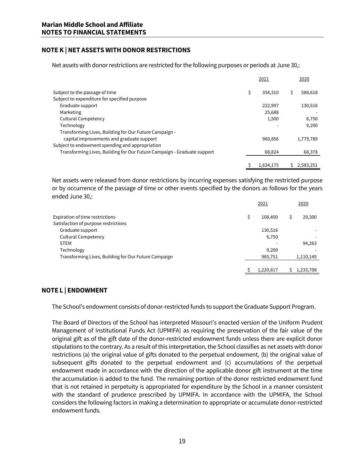# **NOTE K | NET ASSETS WITH DONOR RESTRICTIONS**

Net assets with donor restrictions are restricted for the following purposes or periods at June 30,:

|                                                                         | 2021      |   | 2020      |
|-------------------------------------------------------------------------|-----------|---|-----------|
| Subject to the passage of time                                          | 354,310   | S | 588,618   |
| Subject to expenditure for specified purpose                            |           |   |           |
| Graduate support                                                        | 222,997   |   | 130,516   |
| Marketing                                                               | 25,688    |   |           |
| Cultural Competency                                                     | 1,500     |   | 6,750     |
| Technology                                                              |           |   | 9,200     |
| Transforming Lives, Building for Our Future Campaign -                  |           |   |           |
| capital improvements and graduate support                               | 960.856   |   | 1,779,789 |
| Subject to endowment spending and appropriation                         |           |   |           |
| Transforming Lives, Building for Our Future Campaign - Graduate support | 68,824    |   | 68,378    |
|                                                                         |           |   |           |
|                                                                         | 1.634.175 |   | 2.583.251 |

Net assets were released from donor restrictions by incurring expenses satisfying the restricted purpose or by occurrence of the passage of time or other events specified by the donors as follows for the years ended June 30,:

|                                                                                                                                          | 2021      | 2020      |
|------------------------------------------------------------------------------------------------------------------------------------------|-----------|-----------|
| Expiration of time restrictions<br>Satisfaction of purpose restrictions<br>Graduate support<br><b>Cultural Competency</b><br><b>STEM</b> | 108,400   | 29,300    |
|                                                                                                                                          |           |           |
|                                                                                                                                          | 130,516   |           |
|                                                                                                                                          | 6,750     |           |
|                                                                                                                                          |           | 94,263    |
| Technology                                                                                                                               | 9,200     |           |
| Transforming Lives, Building for Our Future Campaign                                                                                     | 965,751   | 1,110,145 |
|                                                                                                                                          |           |           |
|                                                                                                                                          | 1,220,617 | 1,233,708 |

## **NOTE L | ENDOWMENT**

The School's endowment consists of donor-restricted funds to support the Graduate Support Program.

The Board of Directors of the School has interpreted Missouri's enacted version of the Uniform Prudent Management of Institutional Funds Act (UPMIFA) as requiring the preservation of the fair value of the original gift as of the gift date of the donor-restricted endowment funds unless there are explicit donor stipulations to the contrary. As a result of this interpretation, the School classifies as net assets with donor restrictions (a) the original value of gifts donated to the perpetual endowment, (b) the original value of subsequent gifts donated to the perpetual endowment and (c) accumulations of the perpetual endowment made in accordance with the direction of the applicable donor gift instrument at the time the accumulation is added to the fund. The remaining portion of the donor restricted endowment fund that is not retained in perpetuity is appropriated for expenditure by the School in a manner consistent with the standard of prudence prescribed by UPMIFA. In accordance with the UPMIFA, the School considers the following factors in making a determination to appropriate or accumulate donor-restricted endowment funds.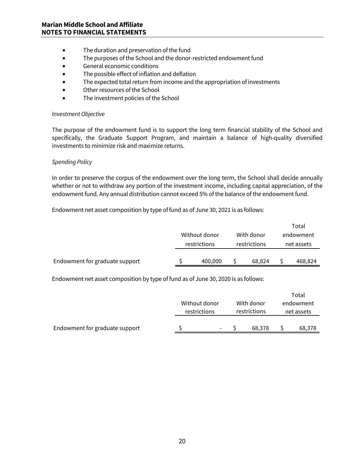- The duration and preservation of the fund
- The purposes of the School and the donor-restricted endowment fund
- General economic conditions
- The possible effect of inflation and deflation
- The expected total return from income and the appropriation of investments
- Other resources of the School
- The investment policies of the School

#### *Investment Objective*

The purpose of the endowment fund is to support the long term financial stability of the School and specifically, the Graduate Support Program, and maintain a balance of high-quality diversified investments to minimize risk and maximize returns.

#### *Spending Policy*

In order to preserve the corpus of the endowment over the long term, the School shall decide annually whether or not to withdraw any portion of the investment income, including capital appreciation, of the endowment fund. Any annual distribution cannot exceed 5% of the balance of the endowment fund.

Endowment net asset composition by type of fund as of June 30, 2021 is as follows:

|                                |               |              |                         | Total   |  |
|--------------------------------|---------------|--------------|-------------------------|---------|--|
|                                | Without donor | With donor   | endowment<br>net assets |         |  |
|                                | restrictions  | restrictions |                         |         |  |
|                                |               |              |                         |         |  |
| Endowment for graduate support | 400,000       | 68,824       |                         | 468,824 |  |

Endowment net asset composition by type of fund as of June 30, 2020 is as follows:

|                                |                               |  |                            |                         | Total  |  |
|--------------------------------|-------------------------------|--|----------------------------|-------------------------|--------|--|
|                                | Without donor<br>restrictions |  | With donor<br>restrictions | endowment<br>net assets |        |  |
| Endowment for graduate support |                               |  | 68,378                     |                         | 68,378 |  |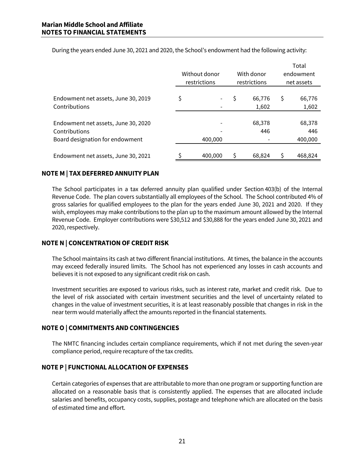|                                                                                         | Without donor<br>restrictions | With donor<br>restrictions |       | Total<br>endowment<br>net assets |
|-----------------------------------------------------------------------------------------|-------------------------------|----------------------------|-------|----------------------------------|
| Endowment net assets, June 30, 2019<br>Contributions                                    | \$                            | 66,776                     | 1,602 | \$<br>66,776<br>1,602            |
| Endowment net assets, June 30, 2020<br>Contributions<br>Board designation for endowment | 400,000                       | 68,378                     | 446   | 68,378<br>446<br>400,000         |
| Endowment net assets, June 30, 2021                                                     | 400,000                       | Ŝ<br>68.824                |       | Ŝ<br>468,824                     |

During the years ended June 30, 2021 and 2020, the School's endowment had the following activity:

# **NOTE M | TAX DEFERRED ANNUITY PLAN**

The School participates in a tax deferred annuity plan qualified under Section 403(b) of the Internal Revenue Code. The plan covers substantially all employees of the School. The School contributed 4% of gross salaries for qualified employees to the plan for the years ended June 30, 2021 and 2020. If they wish, employees may make contributions to the plan up to the maximum amount allowed by the Internal Revenue Code. Employer contributions were \$30,512 and \$30,888 for the years ended June 30, 2021 and 2020, respectively.

# **NOTE N | CONCENTRATION OF CREDIT RISK**

The School maintains its cash at two different financial institutions. At times, the balance in the accounts may exceed federally insured limits. The School has not experienced any losses in cash accounts and believes it is not exposed to any significant credit risk on cash.

Investment securities are exposed to various risks, such as interest rate, market and credit risk. Due to the level of risk associated with certain investment securities and the level of uncertainty related to changes in the value of investment securities, it is at least reasonably possible that changes in risk in the near term would materially affect the amounts reported in the financial statements.

## **NOTE O | COMMITMENTS AND CONTINGENCIES**

The NMTC financing includes certain compliance requirements, which if not met during the seven-year compliance period, require recapture of the tax credits.

## **NOTE P | FUNCTIONAL ALLOCATION OF EXPENSES**

Certain categories of expenses that are attributable to more than one program or supporting function are allocated on a reasonable basis that is consistently applied. The expenses that are allocated include salaries and benefits, occupancy costs, supplies, postage and telephone which are allocated on the basis of estimated time and effort.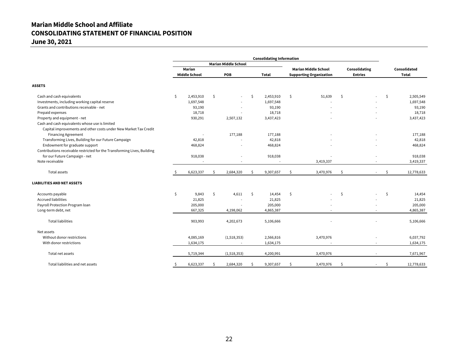# **Marian Middle School and Affiliate CONSOLIDATING STATEMENT OF FINANCIAL POSITION**

**June 30, 2021** 

|                                                                          | <b>Consolidating Information</b> |                      |    |                             |    |              |    |                                |    |                |    |              |
|--------------------------------------------------------------------------|----------------------------------|----------------------|----|-----------------------------|----|--------------|----|--------------------------------|----|----------------|----|--------------|
|                                                                          |                                  |                      |    | <b>Marian Middle School</b> |    |              |    |                                |    |                |    |              |
|                                                                          |                                  | Marian               |    |                             |    |              |    | <b>Marian Middle School</b>    |    | Consolidating  |    | Consolidated |
|                                                                          |                                  | <b>Middle School</b> |    | POB                         |    | <b>Total</b> |    | <b>Supporting Organization</b> |    | <b>Entries</b> |    | Total        |
| <b>ASSETS</b>                                                            |                                  |                      |    |                             |    |              |    |                                |    |                |    |              |
| Cash and cash equivalents                                                | \$                               | 2,453,910            | \$ |                             | \$ | 2,453,910    | Ŝ. | 51,639                         | S. |                | \$ | 2,505,549    |
| Investments, including working capital reserve                           |                                  | 1,697,548            |    |                             |    | 1,697,548    |    |                                |    |                |    | 1,697,548    |
| Grants and contributions receivable - net                                |                                  | 93,190               |    |                             |    | 93,190       |    |                                |    |                |    | 93,190       |
| Prepaid expenses                                                         |                                  | 18,718               |    |                             |    | 18,718       |    |                                |    |                |    | 18,718       |
| Property and equipment - net                                             |                                  | 930,291              |    | 2,507,132                   |    | 3,437,423    |    |                                |    |                |    | 3,437,423    |
| Cash and cash equivalents whose use is limited                           |                                  |                      |    |                             |    |              |    |                                |    |                |    |              |
| Capital improvements and other costs under New Market Tax Credit         |                                  |                      |    |                             |    |              |    |                                |    |                |    |              |
| <b>Financing Agreement</b>                                               |                                  |                      |    | 177,188                     |    | 177,188      |    |                                |    |                |    | 177,188      |
| Transforming Lives, Building for our Future Campaign                     |                                  | 42,818               |    |                             |    | 42,818       |    |                                |    |                |    | 42,818       |
| Endowment for graduate support                                           |                                  | 468,824              |    |                             |    | 468,824      |    |                                |    |                |    | 468,824      |
| Contributions receivable restricted for the Transforming Lives, Building |                                  |                      |    |                             |    |              |    |                                |    |                |    |              |
| for our Future Campaign - net                                            |                                  | 918,038              |    |                             |    | 918,038      |    |                                |    |                |    | 918,038      |
| Note receivable                                                          |                                  |                      |    |                             |    |              |    | 3,419,337                      |    |                |    | 3,419,337    |
| Total assets                                                             | S.                               | 6,623,337            | -Ŝ | 2,684,320                   | Ŝ. | 9,307,657    | S. | 3,470,976                      | Ŝ. |                | Ŝ. | 12,778,633   |
| <b>LIABILITIES AND NET ASSETS</b>                                        |                                  |                      |    |                             |    |              |    |                                |    |                |    |              |
| Accounts payable                                                         | \$                               | 9,843                | \$ | 4,611                       | \$ | 14,454       | \$ |                                | \$ |                | \$ | 14,454       |
| <b>Accrued liabilities</b>                                               |                                  | 21,825               |    |                             |    | 21,825       |    |                                |    |                |    | 21,825       |
| Payroll Protection Program loan                                          |                                  | 205,000              |    |                             |    | 205,000      |    |                                |    |                |    | 205,000      |
| Long-term debt, net                                                      |                                  | 667,325              |    | 4,198,062                   |    | 4,865,387    |    |                                |    |                |    | 4,865,387    |
| <b>Total liabilities</b>                                                 |                                  | 903,993              |    | 4,202,673                   |    | 5,106,666    |    |                                |    |                |    | 5,106,666    |
| Net assets                                                               |                                  |                      |    |                             |    |              |    |                                |    |                |    |              |
| Without donor restrictions                                               |                                  | 4,085,169            |    | (1,518,353)                 |    | 2,566,816    |    | 3,470,976                      |    |                |    | 6,037,792    |
| With donor restrictions                                                  |                                  | 1,634,175            |    | $\sim$                      |    | 1,634,175    |    | $\overline{\phantom{a}}$       |    |                |    | 1,634,175    |
| Total net assets                                                         |                                  | 5,719,344            |    | (1,518,353)                 |    | 4,200,991    |    | 3,470,976                      |    |                |    | 7,671,967    |
| Total liabilities and net assets                                         | S.                               | 6,623,337            |    | 2,684,320                   | Ŝ. | 9,307,657    | Ŝ. | 3,470,976                      | \$ |                | Ŝ. | 12,778,633   |